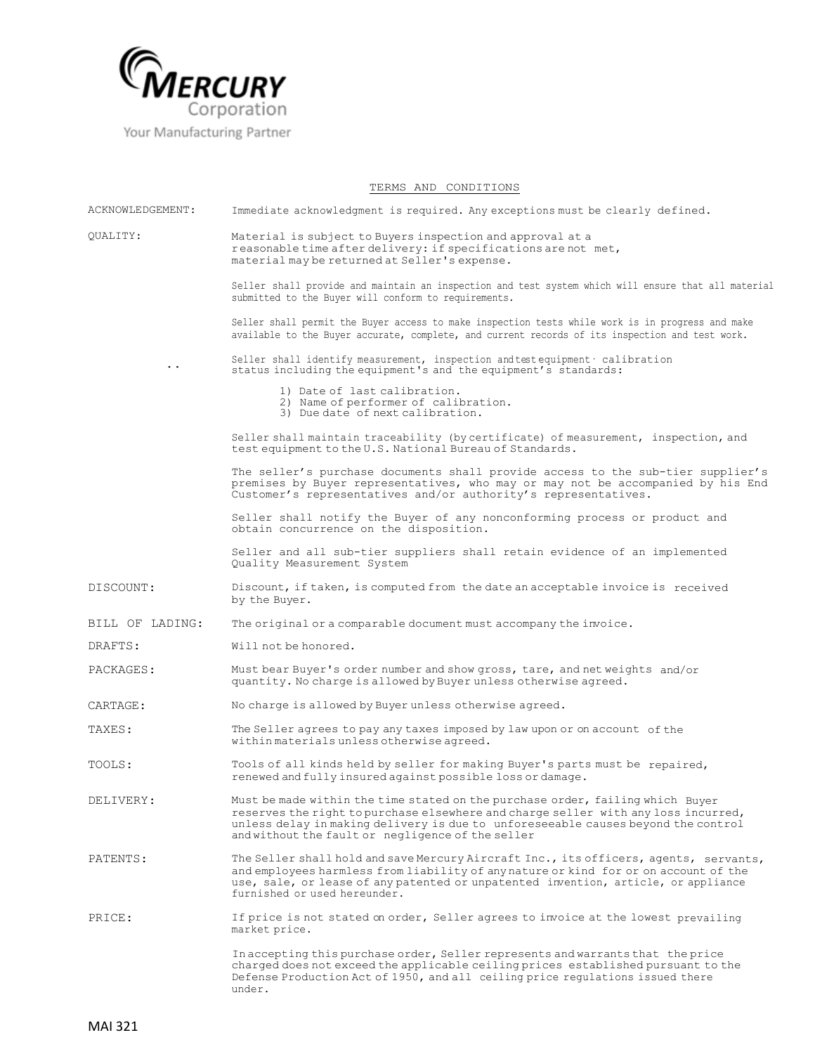

Your Manufacturing Partner

## TERMS AND CONDITIONS

| ACKNOWLEDGEMENT: | Immediate acknowledgment is required. Any exceptions must be clearly defined.                                                                                                                                                                                                                                  |
|------------------|----------------------------------------------------------------------------------------------------------------------------------------------------------------------------------------------------------------------------------------------------------------------------------------------------------------|
| OUALITY:<br>. .  | Material is subject to Buyers inspection and approval at a<br>reasonable time after delivery: if specifications are not met,<br>material may be returned at Seller's expense.                                                                                                                                  |
|                  | Seller shall provide and maintain an inspection and test system which will ensure that all material<br>submitted to the Buyer will conform to requirements.                                                                                                                                                    |
|                  | Seller shall permit the Buyer access to make inspection tests while work is in progress and make<br>available to the Buyer accurate, complete, and current records of its inspection and test work.                                                                                                            |
|                  | Seller shall identify measurement, inspection and test equipment · calibration<br>status including the equipment's and the equipment's standards:                                                                                                                                                              |
|                  | 1) Date of last calibration.<br>2) Name of performer of calibration.<br>3) Due date of next calibration.                                                                                                                                                                                                       |
|                  | Seller shall maintain traceability (by certificate) of measurement, inspection, and<br>test equipment to the U.S. National Bureau of Standards.                                                                                                                                                                |
|                  | The seller's purchase documents shall provide access to the sub-tier supplier's<br>premises by Buyer representatives, who may or may not be accompanied by his End<br>Customer's representatives and/or authority's representatives.                                                                           |
|                  | Seller shall notify the Buyer of any nonconforming process or product and<br>obtain concurrence on the disposition.                                                                                                                                                                                            |
|                  | Seller and all sub-tier suppliers shall retain evidence of an implemented<br>Quality Measurement System                                                                                                                                                                                                        |
| DISCOUNT:        | Discount, if taken, is computed from the date an acceptable invoice is received<br>by the Buyer.                                                                                                                                                                                                               |
| BILL OF LADING:  | The original or a comparable document must accompany the invoice.                                                                                                                                                                                                                                              |
| DRAFTS:          | Will not be honored.                                                                                                                                                                                                                                                                                           |
| PACKAGES:        | Must bear Buyer's order number and show gross, tare, and net weights and/or<br>quantity. No charge is allowed by Buyer unless otherwise agreed.                                                                                                                                                                |
| CARTAGE:         | No charge is allowed by Buyer unless otherwise agreed.                                                                                                                                                                                                                                                         |
| TAXES:           | The Seller agrees to pay any taxes imposed by law upon or on account of the<br>within materials unless otherwise agreed.                                                                                                                                                                                       |
| TOOLS:           | Tools of all kinds held by seller for making Buyer's parts must be repaired,<br>renewed and fully insured against possible loss or damage.                                                                                                                                                                     |
| DELIVERY:        | Must be made within the time stated on the purchase order, failing which Buyer<br>reserves the right to purchase elsewhere and charge seller with any loss incurred,<br>unless delay in making delivery is due to unforeseeable causes beyond the control<br>and without the fault or negligence of the seller |
| PATENTS:         | The Seller shall hold and save Mercury Aircraft Inc., its officers, agents, servants,<br>and employees harmless from liability of any nature or kind for or on account of the<br>use, sale, or lease of any patented or unpatented invention, article, or appliance<br>furnished or used hereunder.            |
| PRICE:           | If price is not stated on order, Seller agrees to invoice at the lowest prevailing<br>market price.                                                                                                                                                                                                            |
|                  | In accepting this purchase order, Seller represents and warrants that the price<br>charged does not exceed the applicable ceiling prices established pursuant to the<br>Defense Production Act of 1950, and all ceiling price regulations issued there<br>under.                                               |